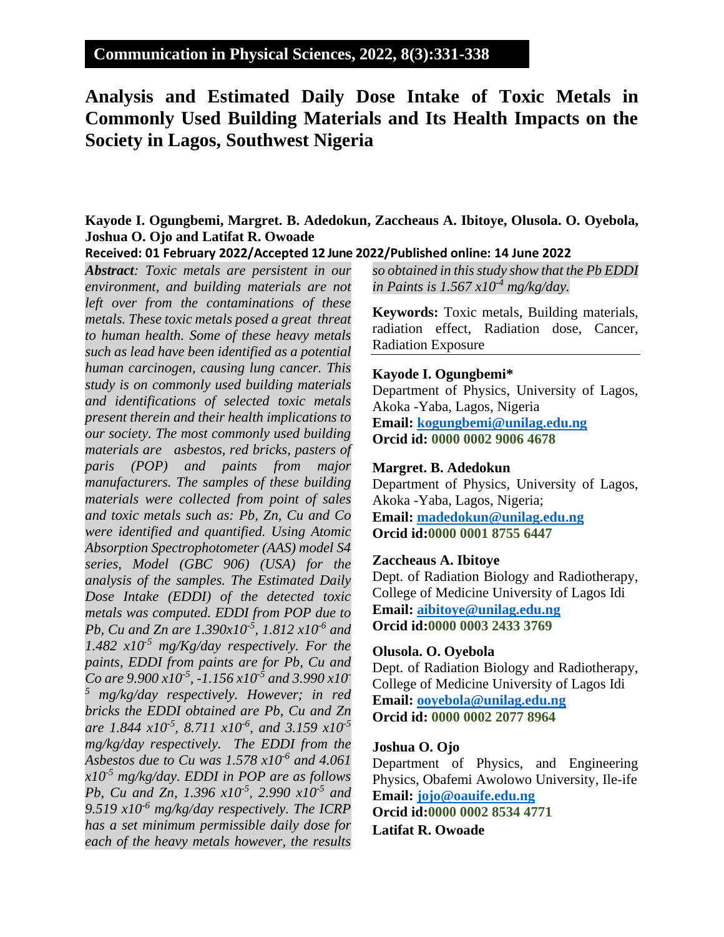## **Communication in Physical Sciences, 2022, 8(3):331-338**

# **Analysis and Estimated Daily Dose Intake of Toxic Metals in Commonly Used Building Materials and Its Health Impacts on the Society in Lagos, Southwest Nigeria**

### **Kayode I. Ogungbemi, Margret. B. Adedokun, Zaccheaus A. Ibitoye, Olusola. O. Oyebola, Joshua O. Ojo and Latifat R. Owoade**

#### **Received: 01 February 2022/Accepted 12 June 2022/Published online: 14 June 2022**

*Abstract: Toxic metals are persistent in our environment, and building materials are not left over from the contaminations of these metals. These toxic metals posed a great threat to human health. Some of these heavy metals such as lead have been identified as a potential human carcinogen, causing lung cancer. This study is on commonly used building materials and identifications of selected toxic metals present therein and their health implications to our society. The most commonly used building materials are asbestos, red bricks, pasters of paris (POP) and paints from major manufacturers. The samples of these building materials were collected from point of sales and toxic metals such as: Pb, Zn, Cu and Co were identified and quantified. Using Atomic Absorption Spectrophotometer (AAS) model S4 series, Model (GBC 906) (USA) for the analysis of the samples. The Estimated Daily Dose Intake (EDDI) of the detected toxic metals was computed. EDDI from POP due to Pb, Cu and Zn are 1.390x10-5 , 1.812 x10-6 and 1.482 x10-5 mg/Kg/day respectively. For the paints, EDDI from paints are for Pb, Cu and Co are 9.900 x10-5 , -1.156 x10-5 and 3.990 x10- <sup>5</sup> mg/kg/day respectively. However; in red bricks the EDDI obtained are Pb, Cu and Zn are 1.844 x10-5 , 8.711 x10-6 , and 3.159 x10-5 mg/kg/day respectively. The EDDI from the Asbestos due to Cu was 1.578 x10-6 and 4.061 x10-5 mg/kg/day. EDDI in POP are as follows Pb, Cu and Zn, 1.396 x10-5 , 2.990 x10-5 and 9.519 x10-6 mg/kg/day respectively. The ICRP has a set minimum permissible daily dose for each of the heavy metals however, the results* 

*so obtained in this study show that the Pb EDDI in Paints is 1.567 x10-4 mg/kg/day.*

**Keywords:** Toxic metals, Building materials, radiation effect, Radiation dose, Cancer, Radiation Exposure

#### **Kayode I. Ogungbemi\***

Department of Physics, University of Lagos, Akoka -Yaba, Lagos, Nigeria **Email: [kogungbemi@unilag.edu.ng](mailto:kogungbemi@unilag.edu.ng) Orcid id: 0000 0002 9006 4678**

#### **Margret. B. Adedokun**

Department of Physics, University of Lagos, Akoka -Yaba, Lagos, Nigeria; **Email: [madedokun@unilag.edu.ng](mailto:madedokun@unilag.edu.ng) Orcid id:0000 0001 8755 6447**

#### **Zaccheaus A. Ibitoye**

Dept. of Radiation Biology and Radiotherapy, College of Medicine University of Lagos Idi **Email: [aibitoye@unilag.edu.ng](mailto:aibitoye@unilag.edu.ng) Orcid id:0000 0003 2433 3769**

#### **Olusola. O. Oyebola**

Dept. of Radiation Biology and Radiotherapy, College of Medicine University of Lagos Idi **Email: [ooyebola@unilag.edu.ng](mailto:ooyebola@unilag.edu.ng) Orcid id: 0000 0002 2077 8964**

#### **Joshua O. Ojo**

Department of Physics, and Engineering Physics, Obafemi Awolowo University, Ile-ife **Email: [jojo@oauife.edu.ng](mailto:jojo@oauife.edu.ng) Orcid id:0000 0002 8534 4771**

**Latifat R. Owoade**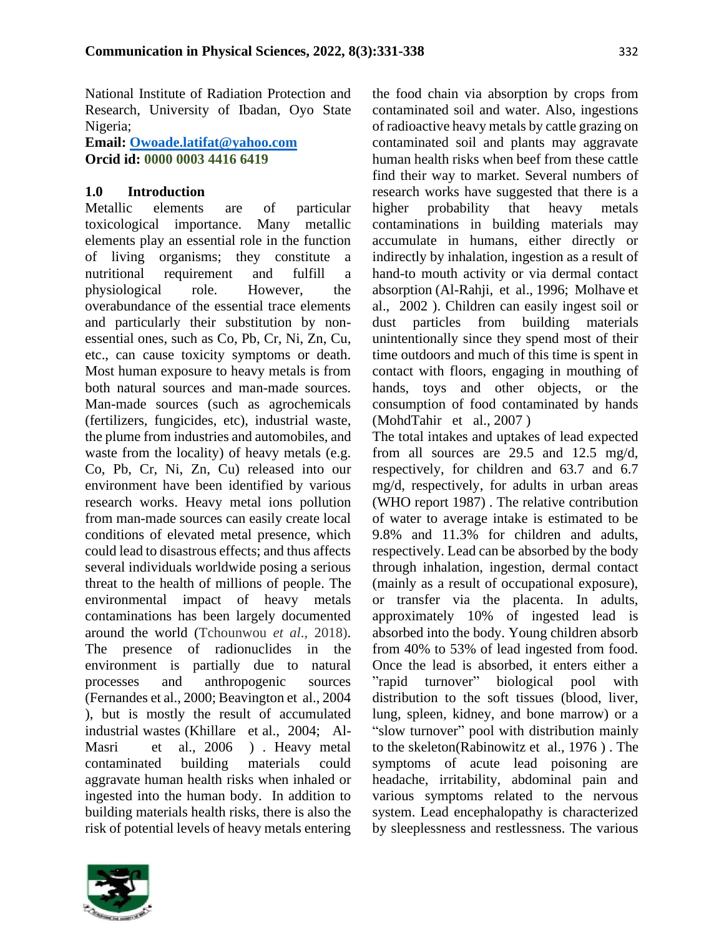National Institute of Radiation Protection and Research, University of Ibadan, Oyo State Nigeria;

**Email: [Owoade.latifat@yahoo.com](mailto:Owoade.latifat@yahoo.com) Orcid id: 0000 0003 4416 6419**

### **1.0 Introduction**

Metallic elements are of particular toxicological importance. Many metallic elements play an essential role in the function of living organisms; they constitute a nutritional requirement and fulfill a physiological role. However, the overabundance of the essential trace elements and particularly their substitution by nonessential ones, such as Co, Pb, Cr, Ni, Zn, Cu, etc., can cause toxicity symptoms or death. Most human exposure to heavy metals is from both natural sources and man-made sources. Man-made sources (such as agrochemicals (fertilizers, fungicides, etc), industrial waste, the plume from industries and automobiles, and waste from the locality) of heavy metals (e.g. Co, Pb, Cr, Ni, Zn, Cu) released into our environment have been identified by various research works. Heavy metal ions pollution from man-made sources can easily create local conditions of elevated metal presence, which could lead to disastrous effects; and thus affects several individuals worldwide posing a serious threat to the health of millions of people. The environmental impact of heavy metals contaminations has been largely documented around the world (Tchounwou *et al*., 2018). The presence of radionuclides in the environment is partially due to natural processes and anthropogenic sources (Fernandes et al., 2000; Beavington et al., 2004 ), but is mostly the result of accumulated industrial wastes (Khillare et al., 2004; Al-Masri et al., 2006 ) . Heavy metal contaminated building materials could aggravate human health risks when inhaled or ingested into the human body. In addition to building materials health risks, there is also the risk of potential levels of heavy metals entering



the food chain via absorption by crops from contaminated soil and water. Also, ingestions of radioactive heavy metals by cattle grazing on contaminated soil and plants may aggravate human health risks when beef from these cattle find their way to market. Several numbers of research works have suggested that there is a higher probability that heavy metals contaminations in building materials may accumulate in humans, either directly or indirectly by inhalation, ingestion as a result of hand-to mouth activity or via dermal contact absorption (Al-Rahji, et al., 1996; Molhave et al., 2002 ). Children can easily ingest soil or dust particles from building materials unintentionally since they spend most of their time outdoors and much of this time is spent in contact with floors, engaging in mouthing of hands, toys and other objects, or the consumption of food contaminated by hands (MohdTahir et al., 2007 )

The total intakes and uptakes of lead expected from all sources are 29.5 and 12.5 mg/d, respectively, for children and 63.7 and 6.7 mg/d, respectively, for adults in urban areas (WHO report 1987) . The relative contribution of water to average intake is estimated to be 9.8% and 11.3% for children and adults, respectively. Lead can be absorbed by the body through inhalation, ingestion, dermal contact (mainly as a result of occupational exposure), or transfer via the placenta. In adults, approximately 10% of ingested lead is absorbed into the body. Young children absorb from 40% to 53% of lead ingested from food. Once the lead is absorbed, it enters either a "rapid turnover" biological pool with distribution to the soft tissues (blood, liver, lung, spleen, kidney, and bone marrow) or a "slow turnover" pool with distribution mainly to the skeleton(Rabinowitz et al., 1976 ) . The symptoms of acute lead poisoning are headache, irritability, abdominal pain and various symptoms related to the nervous system. Lead encephalopathy is characterized by sleeplessness and restlessness. The various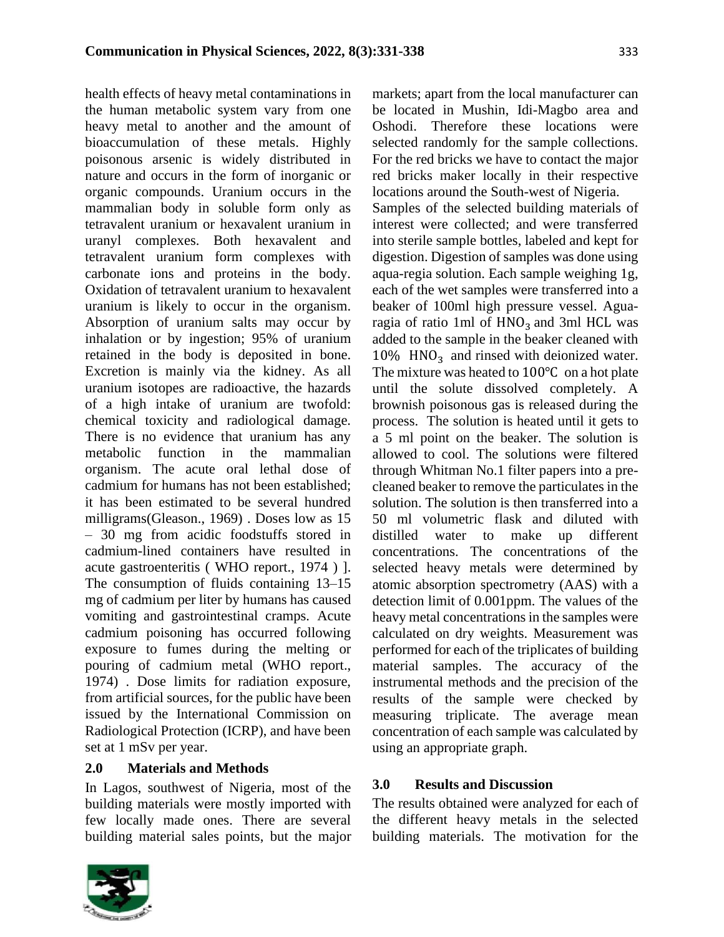health effects of heavy metal contaminations in the human metabolic system vary from one heavy metal to another and the amount of bioaccumulation of these metals. Highly poisonous arsenic is widely distributed in nature and occurs in the form of inorganic or organic compounds. Uranium occurs in the mammalian body in soluble form only as tetravalent uranium or hexavalent uranium in uranyl complexes. Both hexavalent and tetravalent uranium form complexes with carbonate ions and proteins in the body. Oxidation of tetravalent uranium to hexavalent uranium is likely to occur in the organism. Absorption of uranium salts may occur by inhalation or by ingestion; 95% of uranium retained in the body is deposited in bone. Excretion is mainly via the kidney. As all uranium isotopes are radioactive, the hazards of a high intake of uranium are twofold: chemical toxicity and radiological damage. There is no evidence that uranium has any metabolic function in the mammalian organism. The acute oral lethal dose of cadmium for humans has not been established; it has been estimated to be several hundred milligrams(Gleason., 1969) . Doses low as 15 – 30 mg from acidic foodstuffs stored in cadmium-lined containers have resulted in acute gastroenteritis ( WHO report., 1974 ) ]. The consumption of fluids containing 13–15 mg of cadmium per liter by humans has caused vomiting and gastrointestinal cramps. Acute cadmium poisoning has occurred following exposure to fumes during the melting or pouring of cadmium metal (WHO report., 1974) . Dose limits for radiation exposure, from artificial sources, for the public have been issued by the International Commission on Radiological Protection (ICRP), and have been set at 1 mSv per year.

### **2.0 Materials and Methods**

In Lagos, southwest of Nigeria, most of the building materials were mostly imported with few locally made ones. There are several building material sales points, but the major



markets; apart from the local manufacturer can be located in Mushin, Idi-Magbo area and Oshodi. Therefore these locations were selected randomly for the sample collections. For the red bricks we have to contact the major red bricks maker locally in their respective locations around the South-west of Nigeria. Samples of the selected building materials of interest were collected; and were transferred into sterile sample bottles, labeled and kept for digestion. Digestion of samples was done using aqua-regia solution. Each sample weighing 1g, each of the wet samples were transferred into a beaker of 100ml high pressure vessel. Aguaragia of ratio 1ml of  $HNO<sub>3</sub>$  and 3ml HCL was added to the sample in the beaker cleaned with  $10\%$  HNO<sub>3</sub> and rinsed with deionized water. The mixture was heated to 100℃ on a hot plate until the solute dissolved completely. A brownish poisonous gas is released during the process. The solution is heated until it gets to a 5 ml point on the beaker. The solution is allowed to cool. The solutions were filtered through Whitman No.1 filter papers into a precleaned beaker to remove the particulates in the solution. The solution is then transferred into a 50 ml volumetric flask and diluted with distilled water to make up different concentrations. The concentrations of the selected heavy metals were determined by atomic absorption spectrometry (AAS) with a detection limit of 0.001ppm. The values of the heavy metal concentrations in the samples were calculated on dry weights. Measurement was performed for each of the triplicates of building material samples. The accuracy of the instrumental methods and the precision of the results of the sample were checked by measuring triplicate. The average mean concentration of each sample was calculated by using an appropriate graph.

#### **3.0 Results and Discussion**

The results obtained were analyzed for each of the different heavy metals in the selected building materials. The motivation for the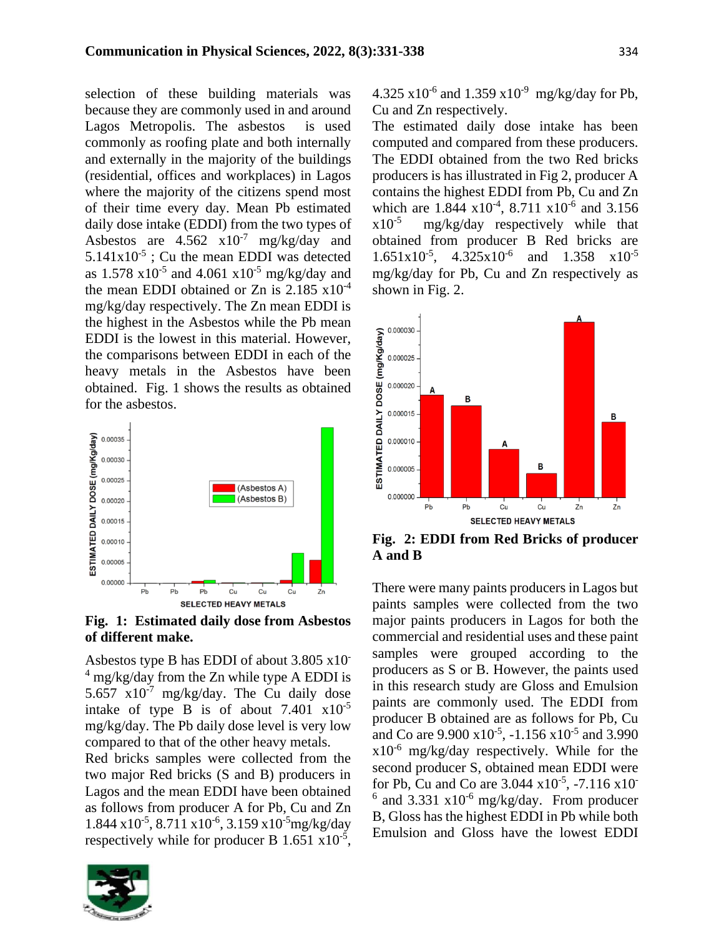selection of these building materials was because they are commonly used in and around Lagos Metropolis. The asbestos is used commonly as roofing plate and both internally and externally in the majority of the buildings (residential, offices and workplaces) in Lagos where the majority of the citizens spend most of their time every day. Mean Pb estimated daily dose intake (EDDI) from the two types of Asbestos are  $4.562 \times 10^{-7}$  mg/kg/day and  $5.141x10^{-5}$ ; Cu the mean EDDI was detected as  $1.578 \times 10^{-5}$  and  $4.061 \times 10^{-5}$  mg/kg/day and the mean EDDI obtained or Zn is  $2.185 \times 10^{-4}$ mg/kg/day respectively. The Zn mean EDDI is the highest in the Asbestos while the Pb mean EDDI is the lowest in this material. However, the comparisons between EDDI in each of the heavy metals in the Asbestos have been obtained. Fig. 1 shows the results as obtained for the asbestos.



**Fig. 1: Estimated daily dose from Asbestos of different make.**

Asbestos type B has EDDI of about 3.805 x10-  $4 \text{ mg/kg/day}$  from the Zn while type A EDDI is 5.657  $x10^{-7}$  mg/kg/day. The Cu daily dose intake of type B is of about  $7.401 \times 10^{-5}$ mg/kg/day. The Pb daily dose level is very low compared to that of the other heavy metals.

Red bricks samples were collected from the two major Red bricks (S and B) producers in Lagos and the mean EDDI have been obtained as follows from producer A for Pb, Cu and Zn  $1.844 \times 10^{-5}$ ,  $8.711 \times 10^{-6}$ ,  $3.159 \times 10^{-5}$ mg/kg/day respectively while for producer B  $1.651 \times 10^{-5}$ ,



 $4.325 \times 10^{-6}$  and  $1.359 \times 10^{-9}$  mg/kg/day for Pb, Cu and Zn respectively.

The estimated daily dose intake has been computed and compared from these producers. The EDDI obtained from the two Red bricks producers is has illustrated in Fig 2, producer A contains the highest EDDI from Pb, Cu and Zn which are  $1.844 \times 10^{-4}$ ,  $8.711 \times 10^{-6}$  and  $3.156$  $x10^{-5}$  mg/kg/day respectively while that obtained from producer B Red bricks are 1.651x10-5 , 4.325x10-6 and  $1.358 \times 10^{-5}$ mg/kg/day for Pb, Cu and Zn respectively as shown in Fig. 2.



**Fig. 2: EDDI from Red Bricks of producer A and B**

There were many paints producers in Lagos but paints samples were collected from the two major paints producers in Lagos for both the commercial and residential uses and these paint samples were grouped according to the producers as S or B. However, the paints used in this research study are Gloss and Emulsion paints are commonly used. The EDDI from producer B obtained are as follows for Pb, Cu and Co are  $9.900 \times 10^{-5}$ ,  $-1.156 \times 10^{-5}$  and 3.990  $x10^{-6}$  mg/kg/day respectively. While for the second producer S, obtained mean EDDI were for Pb, Cu and Co are  $3.044 \times 10^{-5}$ ,  $-7.116 \times 10^{-7}$  $6$  and 3.331  $x10^{-6}$  mg/kg/day. From producer B, Gloss has the highest EDDI in Pb while both Emulsion and Gloss have the lowest EDDI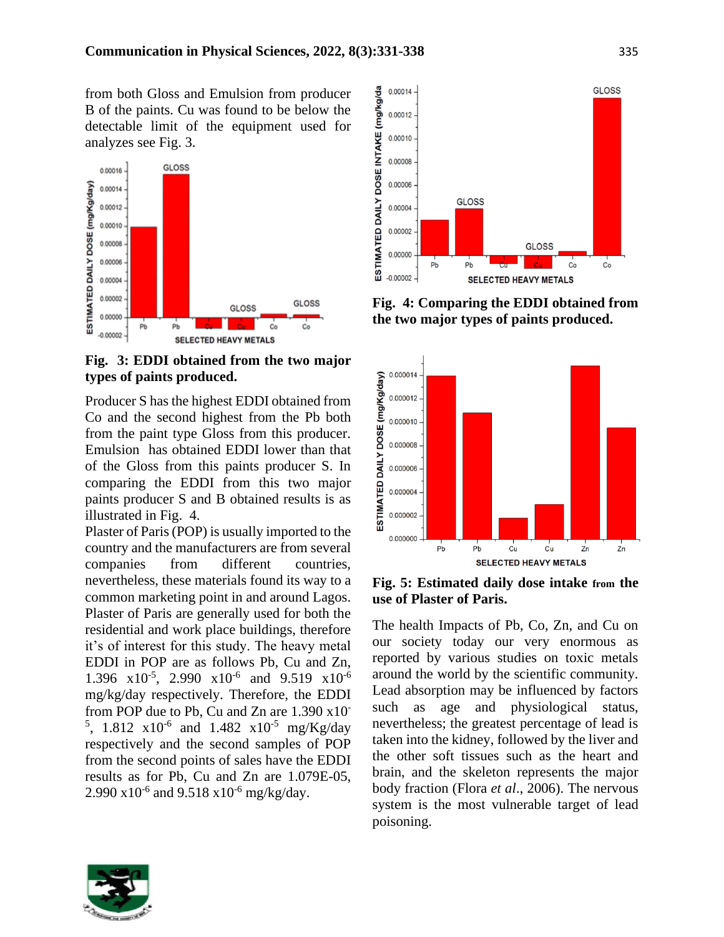from both Gloss and Emulsion from producer B of the paints. Cu was found to be below the detectable limit of the equipment used for analyzes see Fig. 3.



**Fig. 3: EDDI obtained from the two major types of paints produced.**

Producer S has the highest EDDI obtained from Co and the second highest from the Pb both from the paint type Gloss from this producer. Emulsion has obtained EDDI lower than that of the Gloss from this paints producer S. In comparing the EDDI from this two major paints producer S and B obtained results is as illustrated in Fig. 4.

Plaster of Paris (POP) is usually imported to the country and the manufacturers are from several companies from different countries, nevertheless, these materials found its way to a common marketing point in and around Lagos. Plaster of Paris are generally used for both the residential and work place buildings, therefore it's of interest for this study. The heavy metal EDDI in POP are as follows Pb, Cu and Zn, 1.396  $x10^{-5}$ , 2.990  $x10^{-6}$  and 9.519  $x10^{-6}$ mg/kg/day respectively. Therefore, the EDDI from POP due to Pb, Cu and Zn are 1.390 x10- <sup>5</sup>, 1.812  $\times 10^{-6}$  and 1.482  $\times 10^{-5}$  mg/Kg/day respectively and the second samples of POP from the second points of sales have the EDDI results as for Pb, Cu and Zn are 1.079E-05, 2.990  $x10^{-6}$  and 9.518  $x10^{-6}$  mg/kg/day.



**Fig. 4: Comparing the EDDI obtained from the two major types of paints produced.**



**Fig. 5: Estimated daily dose intake from the use of Plaster of Paris.**

The health Impacts of Pb, Co, Zn, and Cu on our society today our very enormous as reported by various studies on toxic metals around the world by the scientific community. Lead absorption may be influenced by factors such as age and physiological status, nevertheless; the greatest percentage of lead is taken into the kidney, followed by the liver and the other soft tissues such as the heart and brain, and the skeleton represents the major body fraction (Flora *et al*., 2006). The nervous system is the most vulnerable target of lead poisoning.

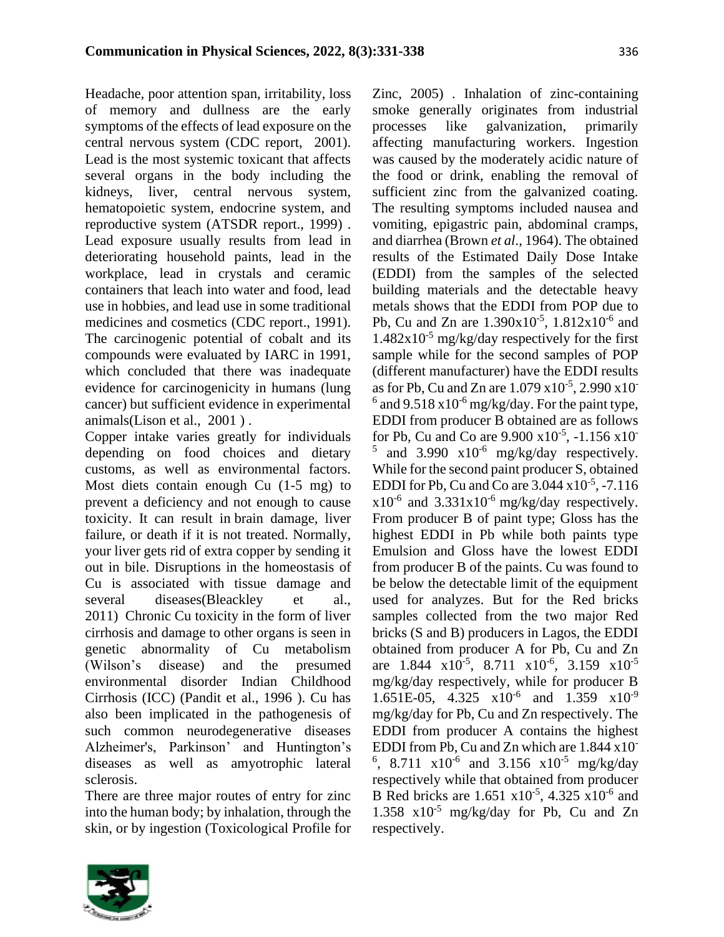Headache, poor attention span, irritability, loss of memory and dullness are the early symptoms of the effects of lead exposure on the central nervous system (CDC report, 2001). Lead is the most systemic toxicant that affects several organs in the body including the kidneys, liver, central nervous system, hematopoietic system, endocrine system, and reproductive system (ATSDR report., 1999) . Lead exposure usually results from lead in deteriorating household paints, lead in the workplace, lead in crystals and ceramic containers that leach into water and food, lead use in hobbies, and lead use in some traditional medicines and cosmetics (CDC report., 1991). The carcinogenic potential of cobalt and its compounds were evaluated by IARC in 1991, which concluded that there was inadequate evidence for carcinogenicity in humans (lung cancer) but sufficient evidence in experimental animals(Lison et al., 2001 ) .

Copper intake varies greatly for individuals depending on food choices and dietary customs, as well as environmental factors. Most diets contain enough Cu (1-5 mg) to prevent a deficiency and not enough to cause toxicity. It can result in brain damage, liver failure, or death if it is not treated. Normally, your liver gets rid of extra copper by sending it out in bile. Disruptions in the homeostasis of Cu is associated with tissue damage and several diseases(Bleackley et al., 2011) Chronic Cu toxicity in the form of liver cirrhosis and damage to other organs is seen in genetic abnormality of Cu metabolism (Wilson's disease) and the presumed environmental disorder Indian Childhood Cirrhosis (ICC) (Pandit et al., 1996 ). Cu has also been implicated in the pathogenesis of such common neurodegenerative diseases Alzheimer's, Parkinson' and Huntington's diseases as well as amyotrophic lateral sclerosis.

There are three major routes of entry for zinc into the human body; by inhalation, through the skin, or by ingestion (Toxicological Profile for



Zinc, 2005) . Inhalation of zinc-containing smoke generally originates from industrial processes like galvanization, primarily affecting manufacturing workers. Ingestion was caused by the moderately acidic nature of the food or drink, enabling the removal of sufficient zinc from the galvanized coating. The resulting symptoms included nausea and vomiting, epigastric pain, abdominal cramps, and diarrhea (Brown *et al*., 1964). The obtained results of the Estimated Daily Dose Intake (EDDI) from the samples of the selected building materials and the detectable heavy metals shows that the EDDI from POP due to Pb, Cu and Zn are  $1.390x10^{-5}$ ,  $1.812x10^{-6}$  and  $1.482x10^{-5}$  mg/kg/day respectively for the first sample while for the second samples of POP (different manufacturer) have the EDDI results as for Pb, Cu and Zn are  $1.079 \times 10^{-5}$ , 2.990  $\times 10^{-7}$  $6$  and 9.518 x10<sup>-6</sup> mg/kg/day. For the paint type, EDDI from producer B obtained are as follows for Pb, Cu and Co are  $9.900 \times 10^{-5}$ ,  $-1.156 \times 10^{-7}$  $5$  and 3.990  $\times 10^{-6}$  mg/kg/day respectively. While for the second paint producer S, obtained EDDI for Pb, Cu and Co are  $3.044 \times 10^{-5}$ ,  $-7.116$  $x10^{-6}$  and 3.331 $x10^{-6}$  mg/kg/day respectively. From producer B of paint type; Gloss has the highest EDDI in Pb while both paints type Emulsion and Gloss have the lowest EDDI from producer B of the paints. Cu was found to be below the detectable limit of the equipment used for analyzes. But for the Red bricks samples collected from the two major Red bricks (S and B) producers in Lagos, the EDDI obtained from producer A for Pb, Cu and Zn are 1.844  $x10^{-5}$ , 8.711  $x10^{-6}$ , 3.159  $x10^{-5}$ mg/kg/day respectively, while for producer B 1.651E-05, 4.325  $\times 10^{-6}$  and 1.359  $\times 10^{-9}$ mg/kg/day for Pb, Cu and Zn respectively. The EDDI from producer A contains the highest EDDI from Pb, Cu and Zn which are 1.844 x10- <sup>6</sup>, 8.711  $x10^{-6}$  and 3.156  $x10^{-5}$  mg/kg/day respectively while that obtained from producer B Red bricks are  $1.651 \times 10^{-5}$ ,  $4.325 \times 10^{-6}$  and 1.358 x10-5 mg/kg/day for Pb, Cu and Zn respectively.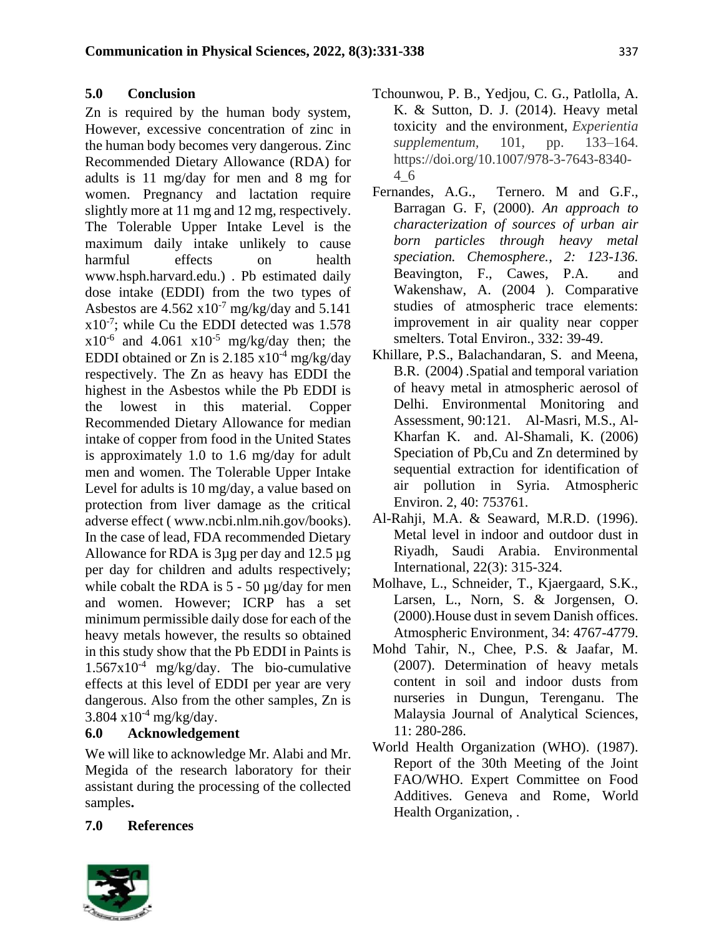### **5.0 Conclusion**

Zn is required by the human body system, However, excessive concentration of zinc in the human body becomes very dangerous. Zinc Recommended Dietary Allowance (RDA) for adults is 11 mg/day for men and 8 mg for women. Pregnancy and lactation require slightly more at 11 mg and 12 mg, respectively. The Tolerable Upper Intake Level is the maximum daily intake unlikely to cause harmful effects on health www.hsph.harvard.edu.) . Pb estimated daily dose intake (EDDI) from the two types of Asbestos are  $4.562 \times 10^{-7}$  mg/kg/day and  $5.141$  $x10^{-7}$ ; while Cu the EDDI detected was 1.578  $x10^{-6}$  and 4.061  $x10^{-5}$  mg/kg/day then; the EDDI obtained or Zn is  $2.185 \times 10^{-4}$  mg/kg/day respectively. The Zn as heavy has EDDI the highest in the Asbestos while the Pb EDDI is the lowest in this material. Copper Recommended Dietary Allowance for median intake of copper from food in the United States is approximately 1.0 to 1.6 mg/day for adult men and women. The Tolerable Upper Intake Level for adults is 10 mg/day, a value based on protection from liver damage as the critical adverse effect ( www.ncbi.nlm.nih.gov/books). In the case of lead, FDA recommended Dietary Allowance for RDA is 3µg per day and 12.5 µg per day for children and adults respectively; while cobalt the RDA is  $5 - 50 \mu g/day$  for men and women. However; ICRP has a set minimum permissible daily dose for each of the heavy metals however, the results so obtained in this study show that the Pb EDDI in Paints is  $1.567x10^{-4}$  mg/kg/day. The bio-cumulative effects at this level of EDDI per year are very dangerous. Also from the other samples, Zn is  $3.804 \times 10^{-4}$  mg/kg/day.

### **6.0 Acknowledgement**

We will like to acknowledge Mr. Alabi and Mr. Megida of the research laboratory for their assistant during the processing of the collected samples**.**

- Tchounwou, P. B., Yedjou, C. G., Patlolla, A. K. & Sutton, D. J. (2014). Heavy metal toxicity and the environment, *Experientia supplementum,* 101, pp. 133–164. https://doi.org/10.1007/978-3-7643-8340- 4\_6
- Fernandes, A.G., Ternero. M and G.F., Barragan G. F, (2000). *An approach to characterization of sources of urban air born particles through heavy metal speciation. Chemosphere., 2: 123-136.*  Beavington, F., Cawes, P.A. and Wakenshaw, A. (2004 ). Comparative studies of atmospheric trace elements: improvement in air quality near copper smelters. Total Environ., 332: 39-49.
- Khillare, P.S., Balachandaran, S. and Meena, B.R. (2004) .Spatial and temporal variation of heavy metal in atmospheric aerosol of Delhi. Environmental Monitoring and Assessment, 90:121. Al-Masri, M.S., Al-Kharfan K. and. Al-Shamali, K. (2006) Speciation of Pb,Cu and Zn determined by sequential extraction for identification of air pollution in Syria. Atmospheric Environ. 2, 40: 753761.
- Al-Rahji, M.A. & Seaward, M.R.D. (1996). Metal level in indoor and outdoor dust in Riyadh, Saudi Arabia. Environmental International, 22(3): 315-324.
- Molhave, L., Schneider, T., Kjaergaard, S.K., Larsen, L., Norn, S. & Jorgensen, O. (2000).House dust in sevem Danish offices. Atmospheric Environment, 34: 4767-4779.
- Mohd Tahir, N., Chee, P.S. & Jaafar, M. (2007). Determination of heavy metals content in soil and indoor dusts from nurseries in Dungun, Terenganu. The Malaysia Journal of Analytical Sciences, 11: 280-286.
- World Health Organization (WHO). (1987). Report of the 30th Meeting of the Joint FAO/WHO. Expert Committee on Food Additives. Geneva and Rome, World Health Organization, .



**7.0 References**